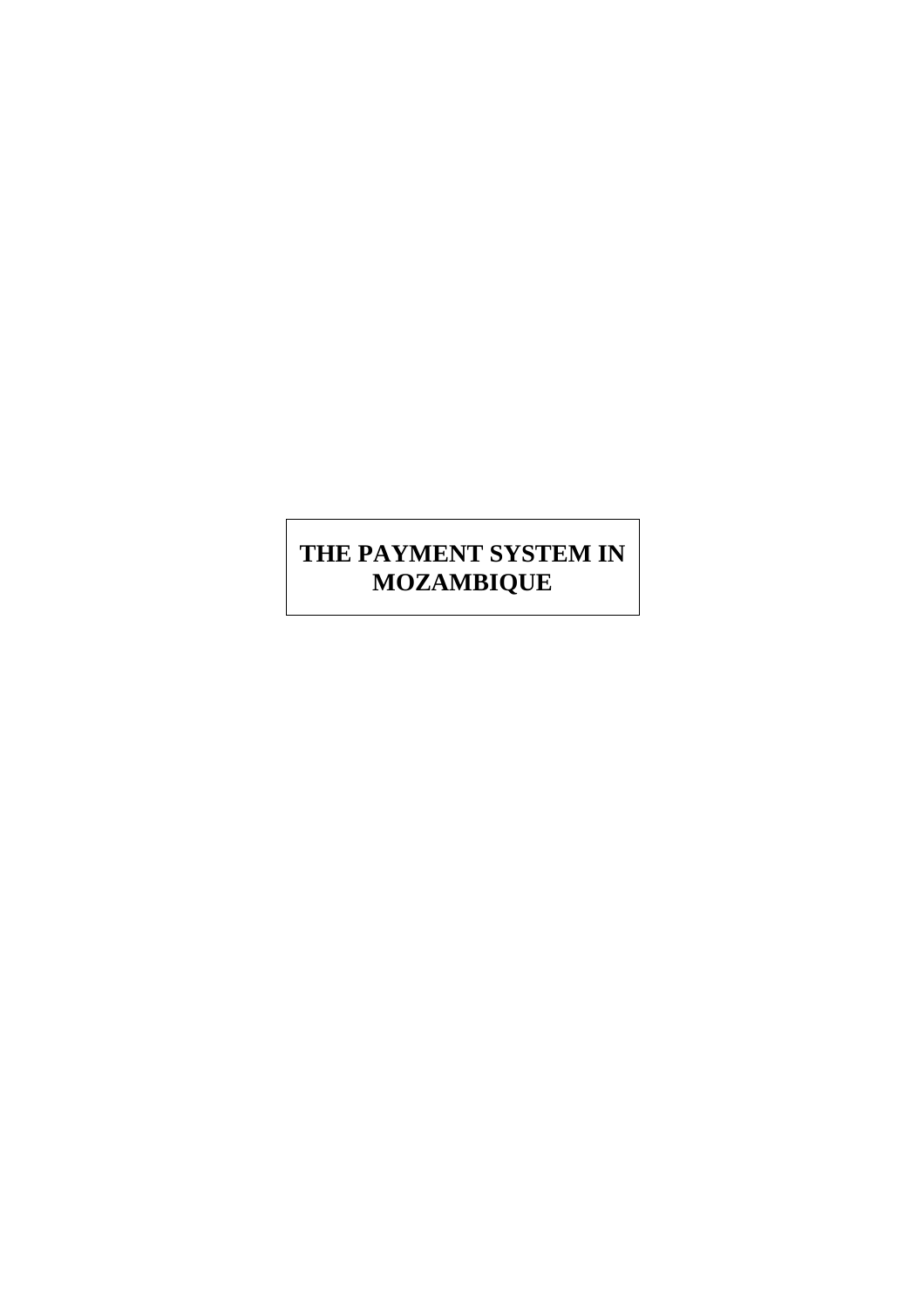# **THE PAYMENT SYSTEM IN MOZAMBIQUE**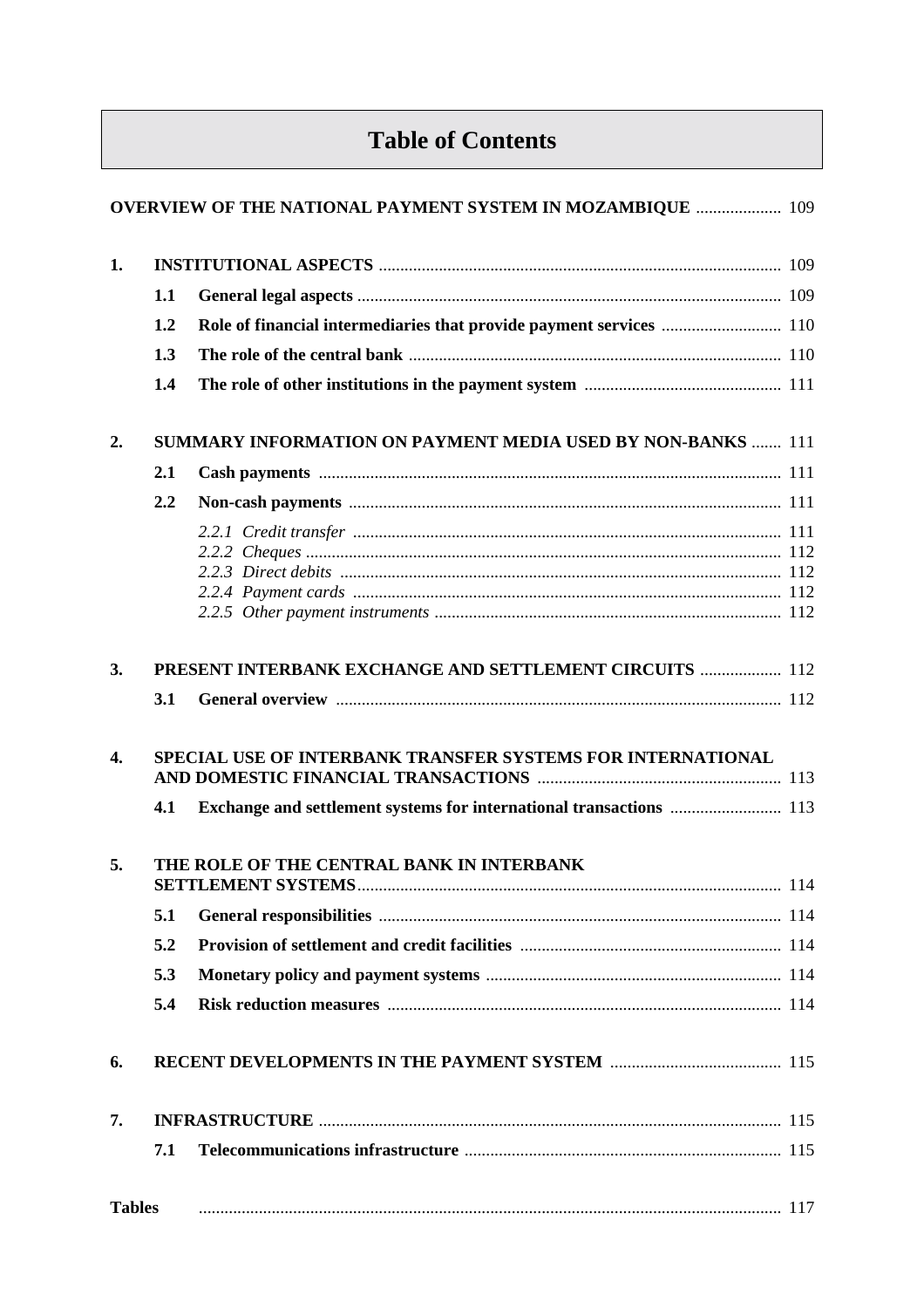# **Table of Contents**

|               |     | <b>OVERVIEW OF THE NATIONAL PAYMENT SYSTEM IN MOZAMBIQUE  109</b>   |  |
|---------------|-----|---------------------------------------------------------------------|--|
| 1.            |     |                                                                     |  |
|               | 1.1 |                                                                     |  |
|               | 1.2 | Role of financial intermediaries that provide payment services  110 |  |
|               | 1.3 |                                                                     |  |
|               | 1.4 |                                                                     |  |
| 2.            |     | <b>SUMMARY INFORMATION ON PAYMENT MEDIA USED BY NON-BANKS  111</b>  |  |
|               | 2.1 |                                                                     |  |
|               | 2.2 |                                                                     |  |
|               |     |                                                                     |  |
|               |     |                                                                     |  |
|               |     |                                                                     |  |
|               |     |                                                                     |  |
|               |     |                                                                     |  |
| 3.            |     | PRESENT INTERBANK EXCHANGE AND SETTLEMENT CIRCUITS  112             |  |
|               | 3.1 |                                                                     |  |
| 4.            | 4.1 | SPECIAL USE OF INTERBANK TRANSFER SYSTEMS FOR INTERNATIONAL         |  |
| 5.            |     | THE ROLE OF THE CENTRAL BANK IN INTERBANK                           |  |
|               |     |                                                                     |  |
|               | 5.1 |                                                                     |  |
|               | 5.2 |                                                                     |  |
|               | 5.3 |                                                                     |  |
|               | 5.4 |                                                                     |  |
| 6.            |     |                                                                     |  |
| 7.            |     |                                                                     |  |
|               | 7.1 |                                                                     |  |
| <b>Tables</b> |     |                                                                     |  |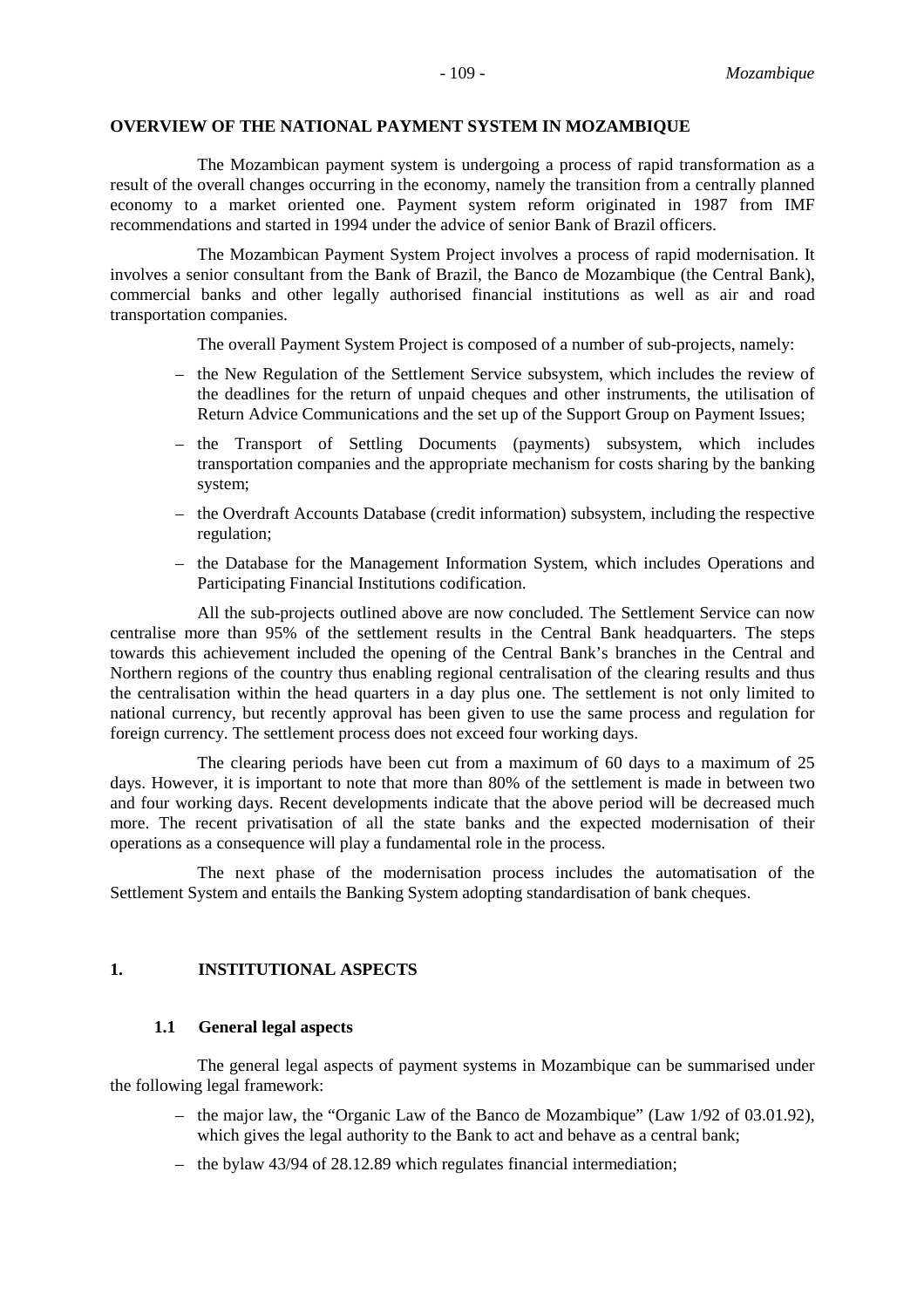#### **OVERVIEW OF THE NATIONAL PAYMENT SYSTEM IN MOZAMBIQUE**

The Mozambican payment system is undergoing a process of rapid transformation as a result of the overall changes occurring in the economy, namely the transition from a centrally planned economy to a market oriented one. Payment system reform originated in 1987 from IMF recommendations and started in 1994 under the advice of senior Bank of Brazil officers.

The Mozambican Payment System Project involves a process of rapid modernisation. It involves a senior consultant from the Bank of Brazil, the Banco de Mozambique (the Central Bank), commercial banks and other legally authorised financial institutions as well as air and road transportation companies.

The overall Payment System Project is composed of a number of sub-projects, namely:

- the New Regulation of the Settlement Service subsystem, which includes the review of the deadlines for the return of unpaid cheques and other instruments, the utilisation of Return Advice Communications and the set up of the Support Group on Payment Issues;
- the Transport of Settling Documents (payments) subsystem, which includes transportation companies and the appropriate mechanism for costs sharing by the banking system;
- the Overdraft Accounts Database (credit information) subsystem, including the respective regulation;
- the Database for the Management Information System, which includes Operations and Participating Financial Institutions codification.

All the sub-projects outlined above are now concluded. The Settlement Service can now centralise more than 95% of the settlement results in the Central Bank headquarters. The steps towards this achievement included the opening of the Central Bank's branches in the Central and Northern regions of the country thus enabling regional centralisation of the clearing results and thus the centralisation within the head quarters in a day plus one. The settlement is not only limited to national currency, but recently approval has been given to use the same process and regulation for foreign currency. The settlement process does not exceed four working days.

The clearing periods have been cut from a maximum of 60 days to a maximum of 25 days. However, it is important to note that more than 80% of the settlement is made in between two and four working days. Recent developments indicate that the above period will be decreased much more. The recent privatisation of all the state banks and the expected modernisation of their operations as a consequence will play a fundamental role in the process.

The next phase of the modernisation process includes the automatisation of the Settlement System and entails the Banking System adopting standardisation of bank cheques.

#### **1. INSTITUTIONAL ASPECTS**

#### **1.1 General legal aspects**

The general legal aspects of payment systems in Mozambique can be summarised under the following legal framework:

- the major law, the "Organic Law of the Banco de Mozambique" (Law 1/92 of 03.01.92), which gives the legal authority to the Bank to act and behave as a central bank:
- the bylaw 43/94 of 28.12.89 which regulates financial intermediation;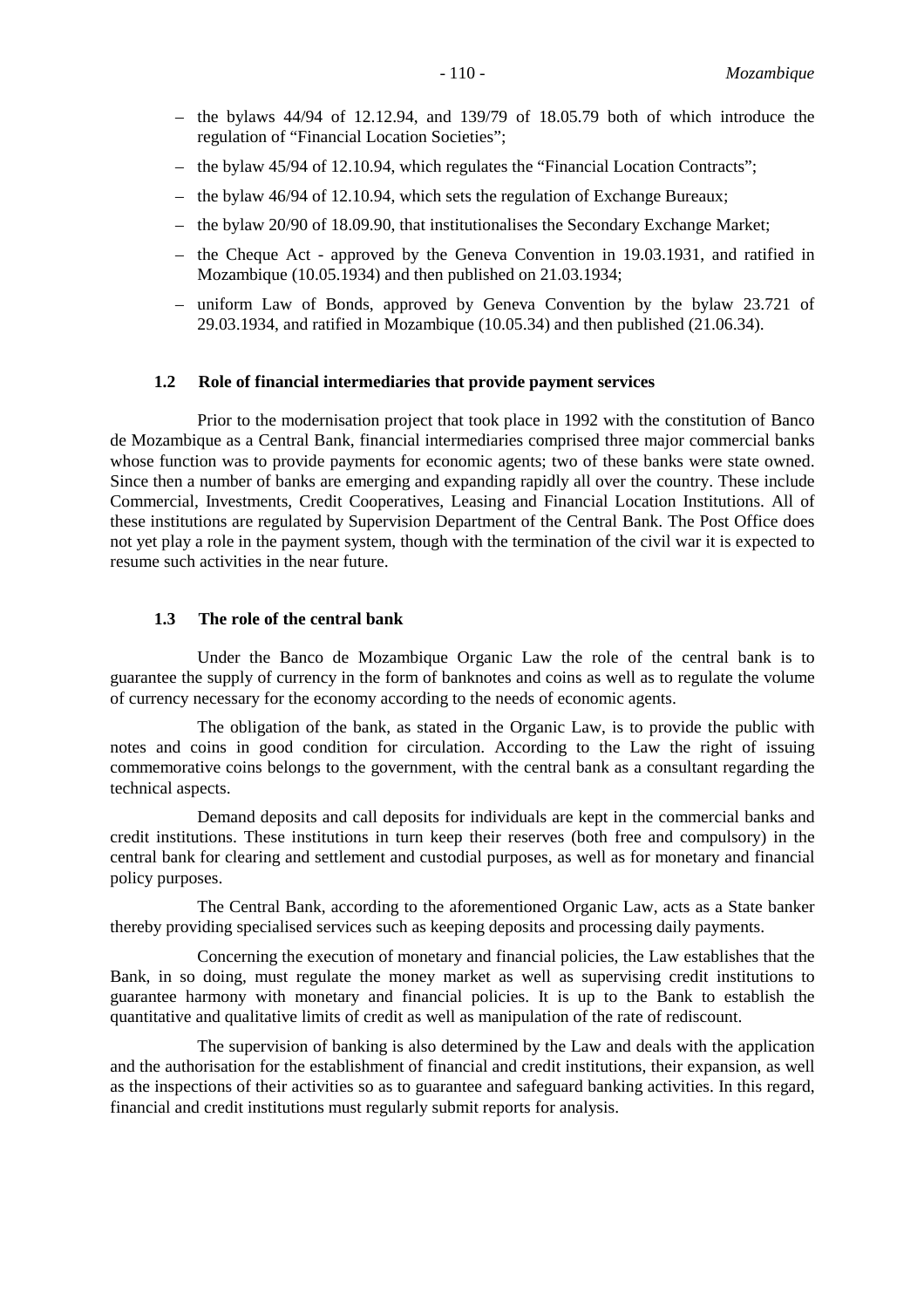- the bylaws  $44/94$  of  $12.12.94$ , and  $139/79$  of  $18.05.79$  both of which introduce the regulation of "Financial Location Societies";
- the bylaw 45/94 of 12.10.94, which regulates the "Financial Location Contracts";
- the bylaw 46/94 of 12.10.94, which sets the regulation of Exchange Bureaux;
- the bylaw 20/90 of 18.09.90, that institutionalises the Secondary Exchange Market;
- the Cheque Act approved by the Geneva Convention in 19.03.1931, and ratified in Mozambique (10.05.1934) and then published on 21.03.1934;
- uniform Law of Bonds, approved by Geneva Convention by the bylaw 23.721 of 29.03.1934, and ratified in Mozambique (10.05.34) and then published (21.06.34).

#### **1.2 Role of financial intermediaries that provide payment services**

Prior to the modernisation project that took place in 1992 with the constitution of Banco de Mozambique as a Central Bank, financial intermediaries comprised three major commercial banks whose function was to provide payments for economic agents; two of these banks were state owned. Since then a number of banks are emerging and expanding rapidly all over the country. These include Commercial, Investments, Credit Cooperatives, Leasing and Financial Location Institutions. All of these institutions are regulated by Supervision Department of the Central Bank. The Post Office does not yet play a role in the payment system, though with the termination of the civil war it is expected to resume such activities in the near future.

#### **1.3 The role of the central bank**

Under the Banco de Mozambique Organic Law the role of the central bank is to guarantee the supply of currency in the form of banknotes and coins as well as to regulate the volume of currency necessary for the economy according to the needs of economic agents.

The obligation of the bank, as stated in the Organic Law, is to provide the public with notes and coins in good condition for circulation. According to the Law the right of issuing commemorative coins belongs to the government, with the central bank as a consultant regarding the technical aspects.

Demand deposits and call deposits for individuals are kept in the commercial banks and credit institutions. These institutions in turn keep their reserves (both free and compulsory) in the central bank for clearing and settlement and custodial purposes, as well as for monetary and financial policy purposes.

The Central Bank, according to the aforementioned Organic Law, acts as a State banker thereby providing specialised services such as keeping deposits and processing daily payments.

Concerning the execution of monetary and financial policies, the Law establishes that the Bank, in so doing, must regulate the money market as well as supervising credit institutions to guarantee harmony with monetary and financial policies. It is up to the Bank to establish the quantitative and qualitative limits of credit as well as manipulation of the rate of rediscount.

The supervision of banking is also determined by the Law and deals with the application and the authorisation for the establishment of financial and credit institutions, their expansion, as well as the inspections of their activities so as to guarantee and safeguard banking activities. In this regard, financial and credit institutions must regularly submit reports for analysis.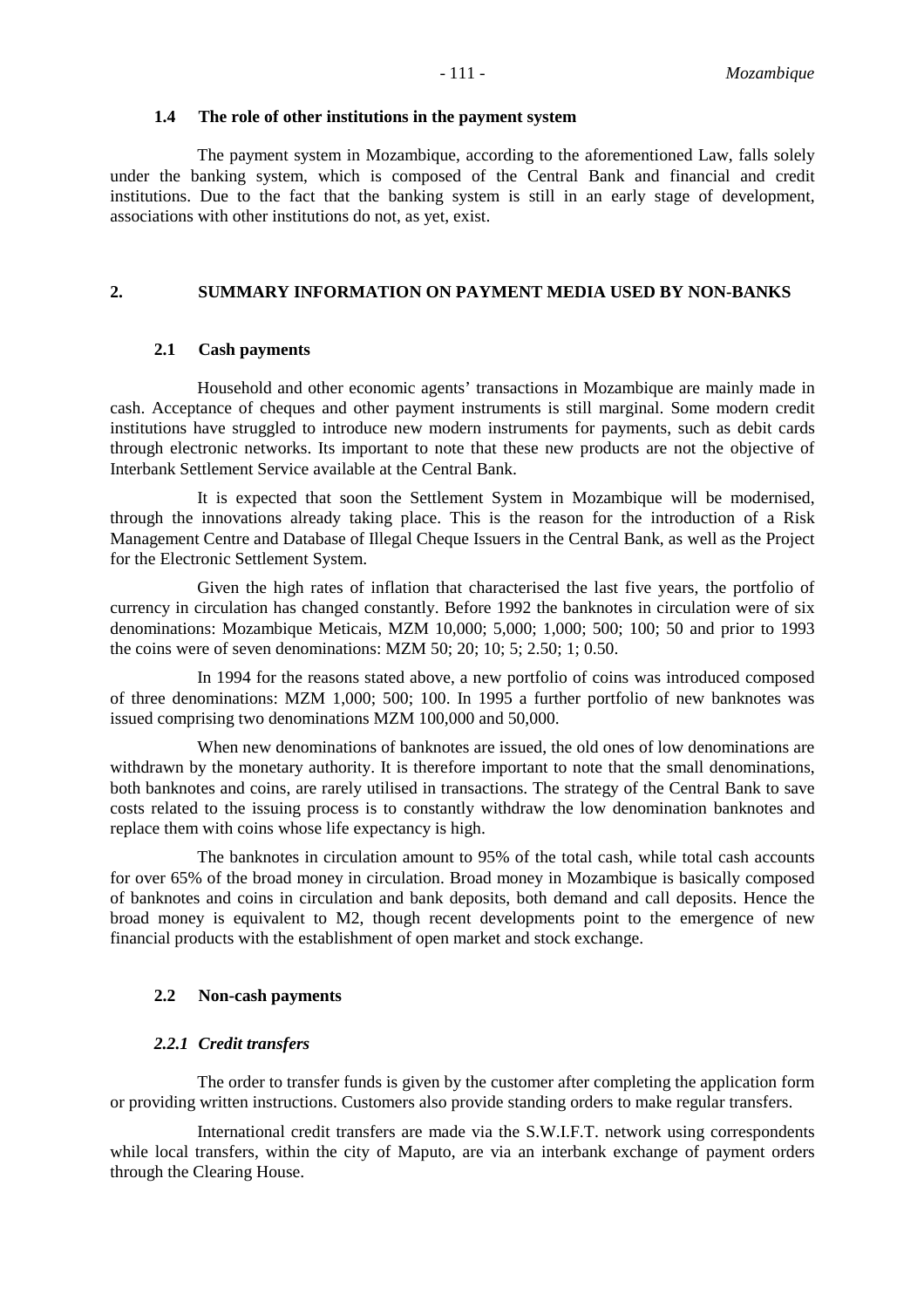#### **1.4 The role of other institutions in the payment system**

The payment system in Mozambique, according to the aforementioned Law, falls solely under the banking system, which is composed of the Central Bank and financial and credit institutions. Due to the fact that the banking system is still in an early stage of development, associations with other institutions do not, as yet, exist.

#### **2. SUMMARY INFORMATION ON PAYMENT MEDIA USED BY NON-BANKS**

#### **2.1 Cash payments**

Household and other economic agents' transactions in Mozambique are mainly made in cash. Acceptance of cheques and other payment instruments is still marginal. Some modern credit institutions have struggled to introduce new modern instruments for payments, such as debit cards through electronic networks. Its important to note that these new products are not the objective of Interbank Settlement Service available at the Central Bank.

It is expected that soon the Settlement System in Mozambique will be modernised, through the innovations already taking place. This is the reason for the introduction of a Risk Management Centre and Database of Illegal Cheque Issuers in the Central Bank, as well as the Project for the Electronic Settlement System.

Given the high rates of inflation that characterised the last five years, the portfolio of currency in circulation has changed constantly. Before 1992 the banknotes in circulation were of six denominations: Mozambique Meticais, MZM 10,000; 5,000; 1,000; 500; 100; 50 and prior to 1993 the coins were of seven denominations: MZM 50; 20; 10; 5; 2.50; 1; 0.50.

In 1994 for the reasons stated above, a new portfolio of coins was introduced composed of three denominations: MZM 1,000; 500; 100. In 1995 a further portfolio of new banknotes was issued comprising two denominations MZM 100,000 and 50,000.

When new denominations of banknotes are issued, the old ones of low denominations are withdrawn by the monetary authority. It is therefore important to note that the small denominations, both banknotes and coins, are rarely utilised in transactions. The strategy of the Central Bank to save costs related to the issuing process is to constantly withdraw the low denomination banknotes and replace them with coins whose life expectancy is high.

The banknotes in circulation amount to 95% of the total cash, while total cash accounts for over 65% of the broad money in circulation. Broad money in Mozambique is basically composed of banknotes and coins in circulation and bank deposits, both demand and call deposits. Hence the broad money is equivalent to M2, though recent developments point to the emergence of new financial products with the establishment of open market and stock exchange.

#### **2.2 Non-cash payments**

#### *2.2.1 Credit transfers*

The order to transfer funds is given by the customer after completing the application form or providing written instructions. Customers also provide standing orders to make regular transfers.

International credit transfers are made via the S.W.I.F.T. network using correspondents while local transfers, within the city of Maputo, are via an interbank exchange of payment orders through the Clearing House.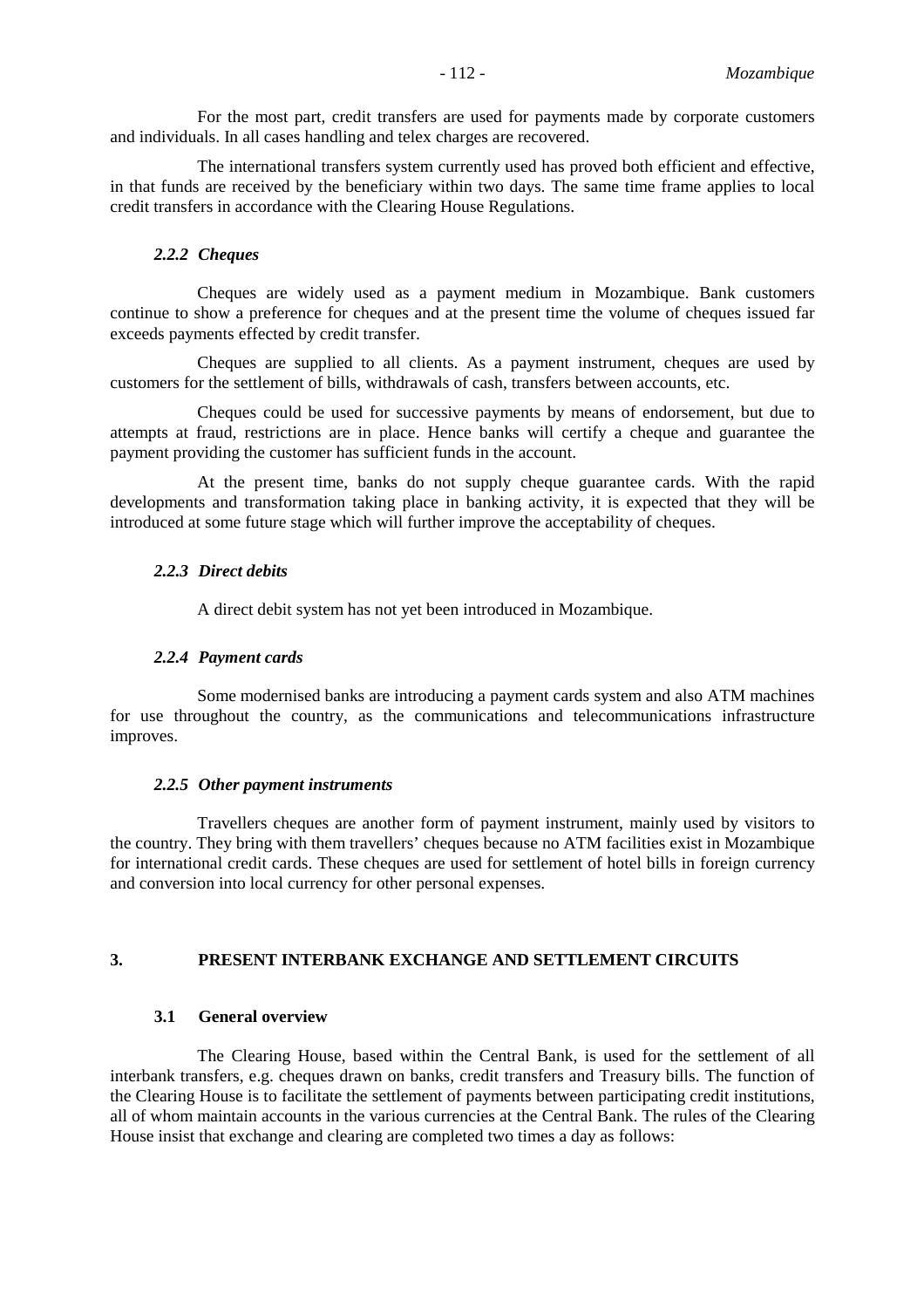For the most part, credit transfers are used for payments made by corporate customers and individuals. In all cases handling and telex charges are recovered.

The international transfers system currently used has proved both efficient and effective, in that funds are received by the beneficiary within two days. The same time frame applies to local credit transfers in accordance with the Clearing House Regulations.

#### *2.2.2 Cheques*

Cheques are widely used as a payment medium in Mozambique. Bank customers continue to show a preference for cheques and at the present time the volume of cheques issued far exceeds payments effected by credit transfer.

Cheques are supplied to all clients. As a payment instrument, cheques are used by customers for the settlement of bills, withdrawals of cash, transfers between accounts, etc.

Cheques could be used for successive payments by means of endorsement, but due to attempts at fraud, restrictions are in place. Hence banks will certify a cheque and guarantee the payment providing the customer has sufficient funds in the account.

At the present time, banks do not supply cheque guarantee cards. With the rapid developments and transformation taking place in banking activity, it is expected that they will be introduced at some future stage which will further improve the acceptability of cheques.

#### *2.2.3 Direct debits*

A direct debit system has not yet been introduced in Mozambique.

#### *2.2.4 Payment cards*

Some modernised banks are introducing a payment cards system and also ATM machines for use throughout the country, as the communications and telecommunications infrastructure improves.

#### *2.2.5 Other payment instruments*

Travellers cheques are another form of payment instrument, mainly used by visitors to the country. They bring with them travellers' cheques because no ATM facilities exist in Mozambique for international credit cards. These cheques are used for settlement of hotel bills in foreign currency and conversion into local currency for other personal expenses.

#### **3. PRESENT INTERBANK EXCHANGE AND SETTLEMENT CIRCUITS**

#### **3.1 General overview**

The Clearing House, based within the Central Bank, is used for the settlement of all interbank transfers, e.g. cheques drawn on banks, credit transfers and Treasury bills. The function of the Clearing House is to facilitate the settlement of payments between participating credit institutions, all of whom maintain accounts in the various currencies at the Central Bank. The rules of the Clearing House insist that exchange and clearing are completed two times a day as follows: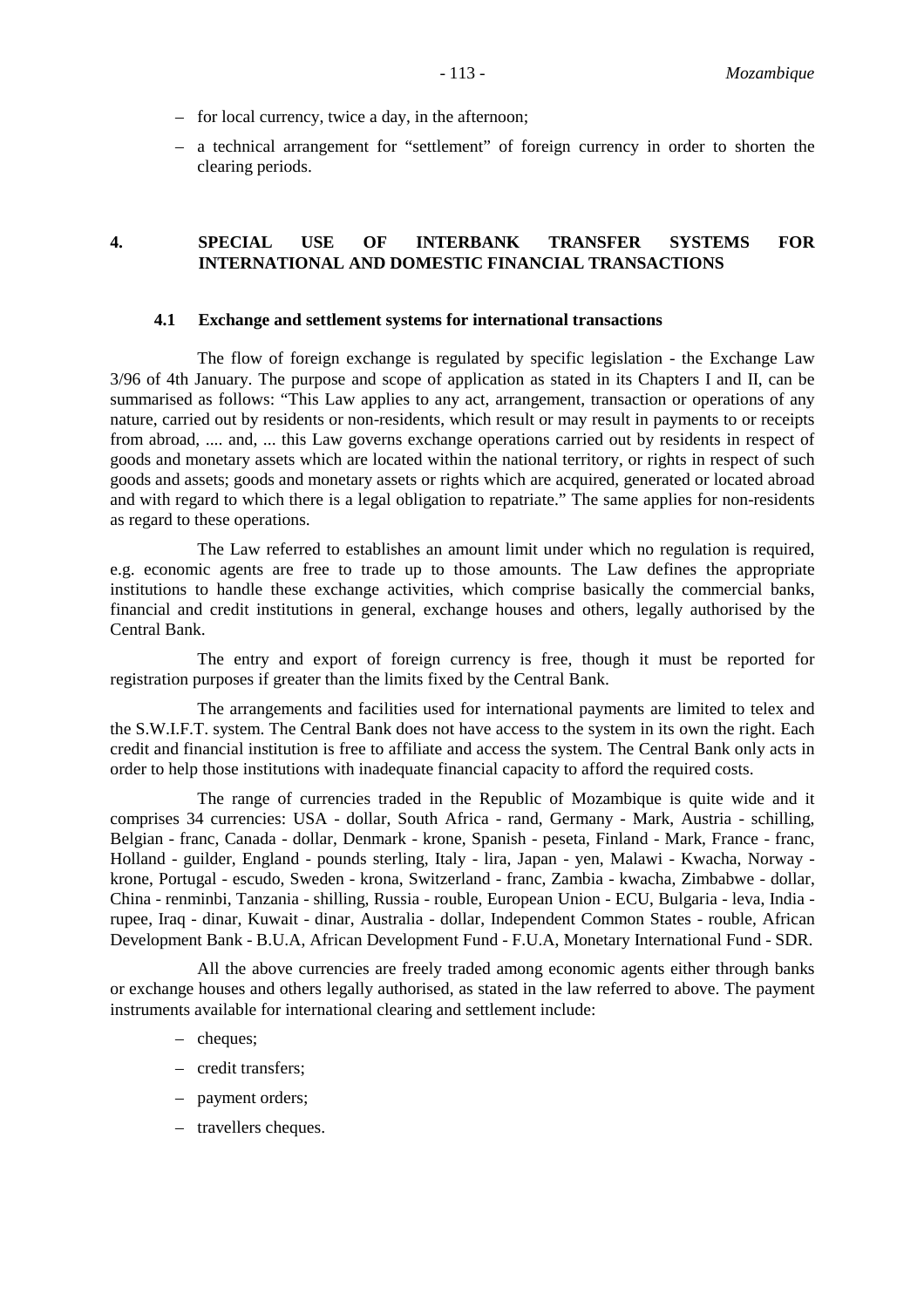- for local currency, twice a day, in the afternoon;
- a technical arrangement for "settlement" of foreign currency in order to shorten the clearing periods.

#### **4. SPECIAL USE OF INTERBANK TRANSFER SYSTEMS FOR INTERNATIONAL AND DOMESTIC FINANCIAL TRANSACTIONS**

#### **4.1 Exchange and settlement systems for international transactions**

The flow of foreign exchange is regulated by specific legislation - the Exchange Law 3/96 of 4th January. The purpose and scope of application as stated in its Chapters I and II, can be summarised as follows: "This Law applies to any act, arrangement, transaction or operations of any nature, carried out by residents or non-residents, which result or may result in payments to or receipts from abroad, .... and, ... this Law governs exchange operations carried out by residents in respect of goods and monetary assets which are located within the national territory, or rights in respect of such goods and assets; goods and monetary assets or rights which are acquired, generated or located abroad and with regard to which there is a legal obligation to repatriate." The same applies for non-residents as regard to these operations.

The Law referred to establishes an amount limit under which no regulation is required, e.g. economic agents are free to trade up to those amounts. The Law defines the appropriate institutions to handle these exchange activities, which comprise basically the commercial banks, financial and credit institutions in general, exchange houses and others, legally authorised by the Central Bank.

The entry and export of foreign currency is free, though it must be reported for registration purposes if greater than the limits fixed by the Central Bank.

The arrangements and facilities used for international payments are limited to telex and the S.W.I.F.T. system. The Central Bank does not have access to the system in its own the right. Each credit and financial institution is free to affiliate and access the system. The Central Bank only acts in order to help those institutions with inadequate financial capacity to afford the required costs.

The range of currencies traded in the Republic of Mozambique is quite wide and it comprises 34 currencies: USA - dollar, South Africa - rand, Germany - Mark, Austria - schilling, Belgian - franc, Canada - dollar, Denmark - krone, Spanish - peseta, Finland - Mark, France - franc, Holland - guilder, England - pounds sterling, Italy - lira, Japan - yen, Malawi - Kwacha, Norway krone, Portugal - escudo, Sweden - krona, Switzerland - franc, Zambia - kwacha, Zimbabwe - dollar, China - renminbi, Tanzania - shilling, Russia - rouble, European Union - ECU, Bulgaria - leva, India rupee, Iraq - dinar, Kuwait - dinar, Australia - dollar, Independent Common States - rouble, African Development Bank - B.U.A, African Development Fund - F.U.A, Monetary International Fund - SDR.

All the above currencies are freely traded among economic agents either through banks or exchange houses and others legally authorised, as stated in the law referred to above. The payment instruments available for international clearing and settlement include:

- cheques;
- credit transfers;
- payment orders;
- travellers cheques.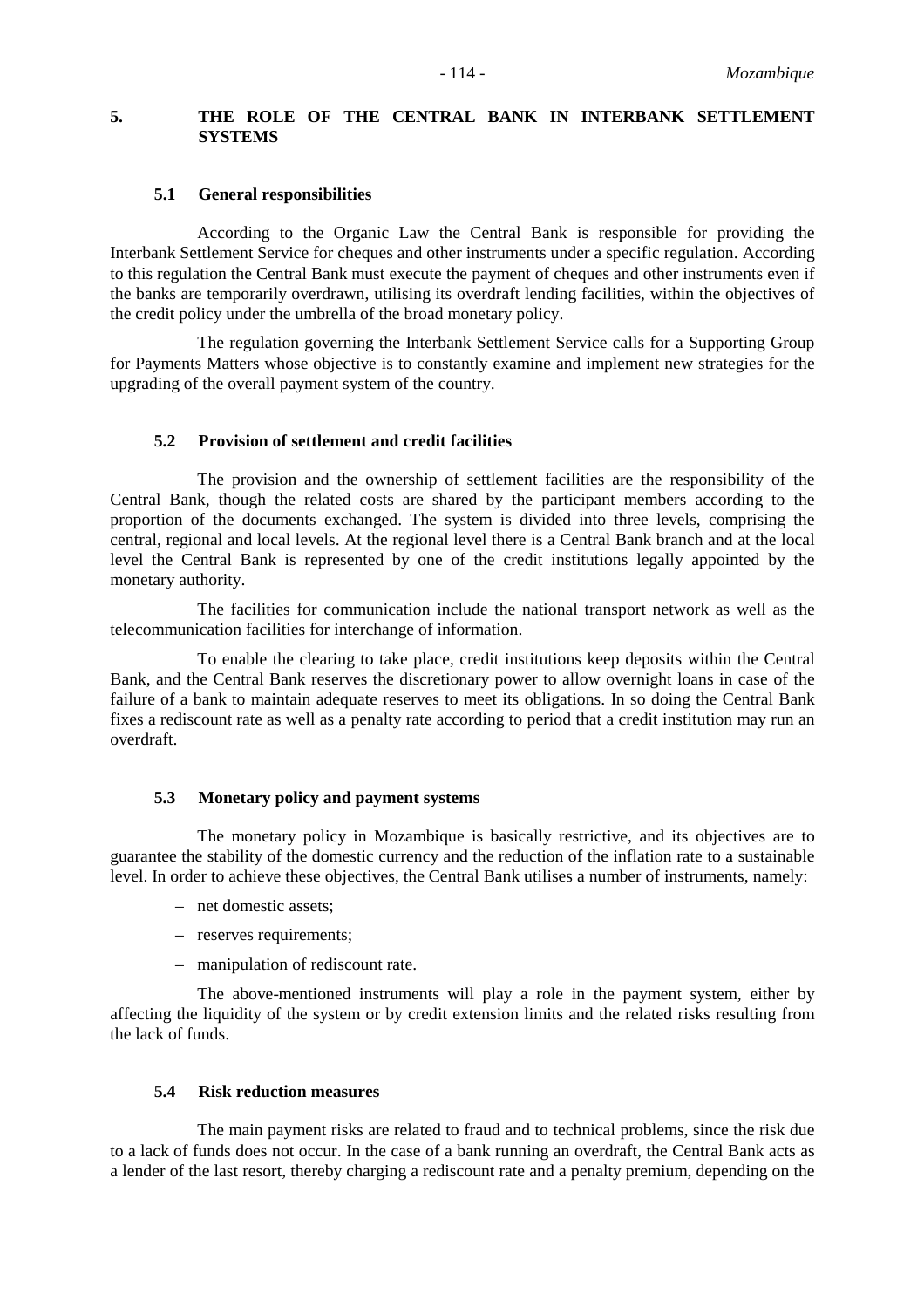## **5. THE ROLE OF THE CENTRAL BANK IN INTERBANK SETTLEMENT SYSTEMS**

#### **5.1 General responsibilities**

According to the Organic Law the Central Bank is responsible for providing the Interbank Settlement Service for cheques and other instruments under a specific regulation. According to this regulation the Central Bank must execute the payment of cheques and other instruments even if the banks are temporarily overdrawn, utilising its overdraft lending facilities, within the objectives of the credit policy under the umbrella of the broad monetary policy.

The regulation governing the Interbank Settlement Service calls for a Supporting Group for Payments Matters whose objective is to constantly examine and implement new strategies for the upgrading of the overall payment system of the country.

#### **5.2 Provision of settlement and credit facilities**

The provision and the ownership of settlement facilities are the responsibility of the Central Bank, though the related costs are shared by the participant members according to the proportion of the documents exchanged. The system is divided into three levels, comprising the central, regional and local levels. At the regional level there is a Central Bank branch and at the local level the Central Bank is represented by one of the credit institutions legally appointed by the monetary authority.

The facilities for communication include the national transport network as well as the telecommunication facilities for interchange of information.

To enable the clearing to take place, credit institutions keep deposits within the Central Bank, and the Central Bank reserves the discretionary power to allow overnight loans in case of the failure of a bank to maintain adequate reserves to meet its obligations. In so doing the Central Bank fixes a rediscount rate as well as a penalty rate according to period that a credit institution may run an overdraft.

#### **5.3 Monetary policy and payment systems**

The monetary policy in Mozambique is basically restrictive, and its objectives are to guarantee the stability of the domestic currency and the reduction of the inflation rate to a sustainable level. In order to achieve these objectives, the Central Bank utilises a number of instruments, namely:

- net domestic assets;
- reserves requirements;
- manipulation of rediscount rate.

The above-mentioned instruments will play a role in the payment system, either by affecting the liquidity of the system or by credit extension limits and the related risks resulting from the lack of funds.

#### **5.4 Risk reduction measures**

The main payment risks are related to fraud and to technical problems, since the risk due to a lack of funds does not occur. In the case of a bank running an overdraft, the Central Bank acts as a lender of the last resort, thereby charging a rediscount rate and a penalty premium, depending on the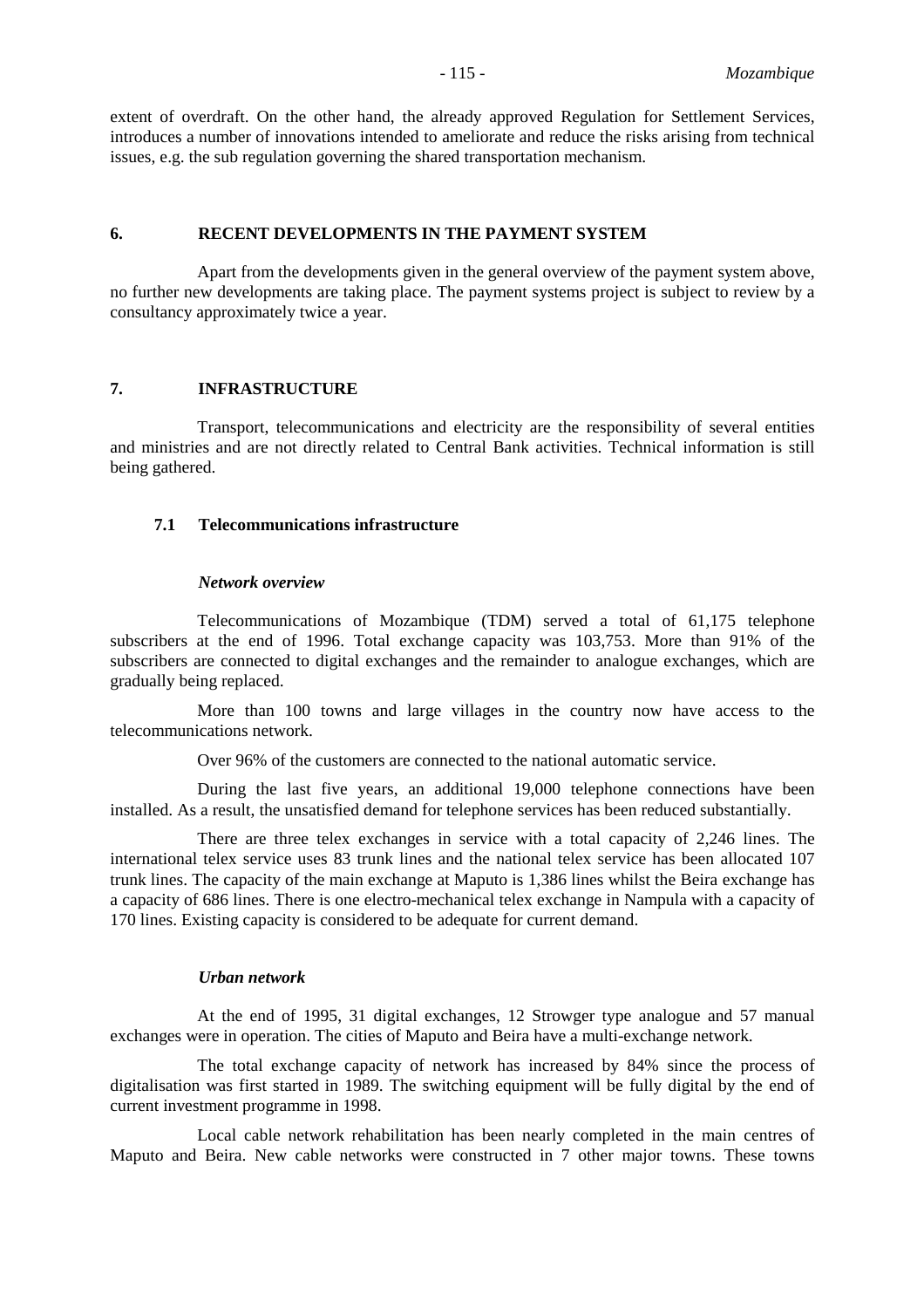extent of overdraft. On the other hand, the already approved Regulation for Settlement Services, introduces a number of innovations intended to ameliorate and reduce the risks arising from technical issues, e.g. the sub regulation governing the shared transportation mechanism.

#### **6. RECENT DEVELOPMENTS IN THE PAYMENT SYSTEM**

Apart from the developments given in the general overview of the payment system above, no further new developments are taking place. The payment systems project is subject to review by a consultancy approximately twice a year.

#### **7. INFRASTRUCTURE**

Transport, telecommunications and electricity are the responsibility of several entities and ministries and are not directly related to Central Bank activities. Technical information is still being gathered.

#### **7.1 Telecommunications infrastructure**

#### *Network overview*

Telecommunications of Mozambique (TDM) served a total of 61,175 telephone subscribers at the end of 1996. Total exchange capacity was 103,753. More than 91% of the subscribers are connected to digital exchanges and the remainder to analogue exchanges, which are gradually being replaced.

More than 100 towns and large villages in the country now have access to the telecommunications network.

Over 96% of the customers are connected to the national automatic service.

During the last five years, an additional 19,000 telephone connections have been installed. As a result, the unsatisfied demand for telephone services has been reduced substantially.

There are three telex exchanges in service with a total capacity of 2,246 lines. The international telex service uses 83 trunk lines and the national telex service has been allocated 107 trunk lines. The capacity of the main exchange at Maputo is 1,386 lines whilst the Beira exchange has a capacity of 686 lines. There is one electro-mechanical telex exchange in Nampula with a capacity of 170 lines. Existing capacity is considered to be adequate for current demand.

#### *Urban network*

At the end of 1995, 31 digital exchanges, 12 Strowger type analogue and 57 manual exchanges were in operation. The cities of Maputo and Beira have a multi-exchange network.

The total exchange capacity of network has increased by 84% since the process of digitalisation was first started in 1989. The switching equipment will be fully digital by the end of current investment programme in 1998.

Local cable network rehabilitation has been nearly completed in the main centres of Maputo and Beira. New cable networks were constructed in 7 other major towns. These towns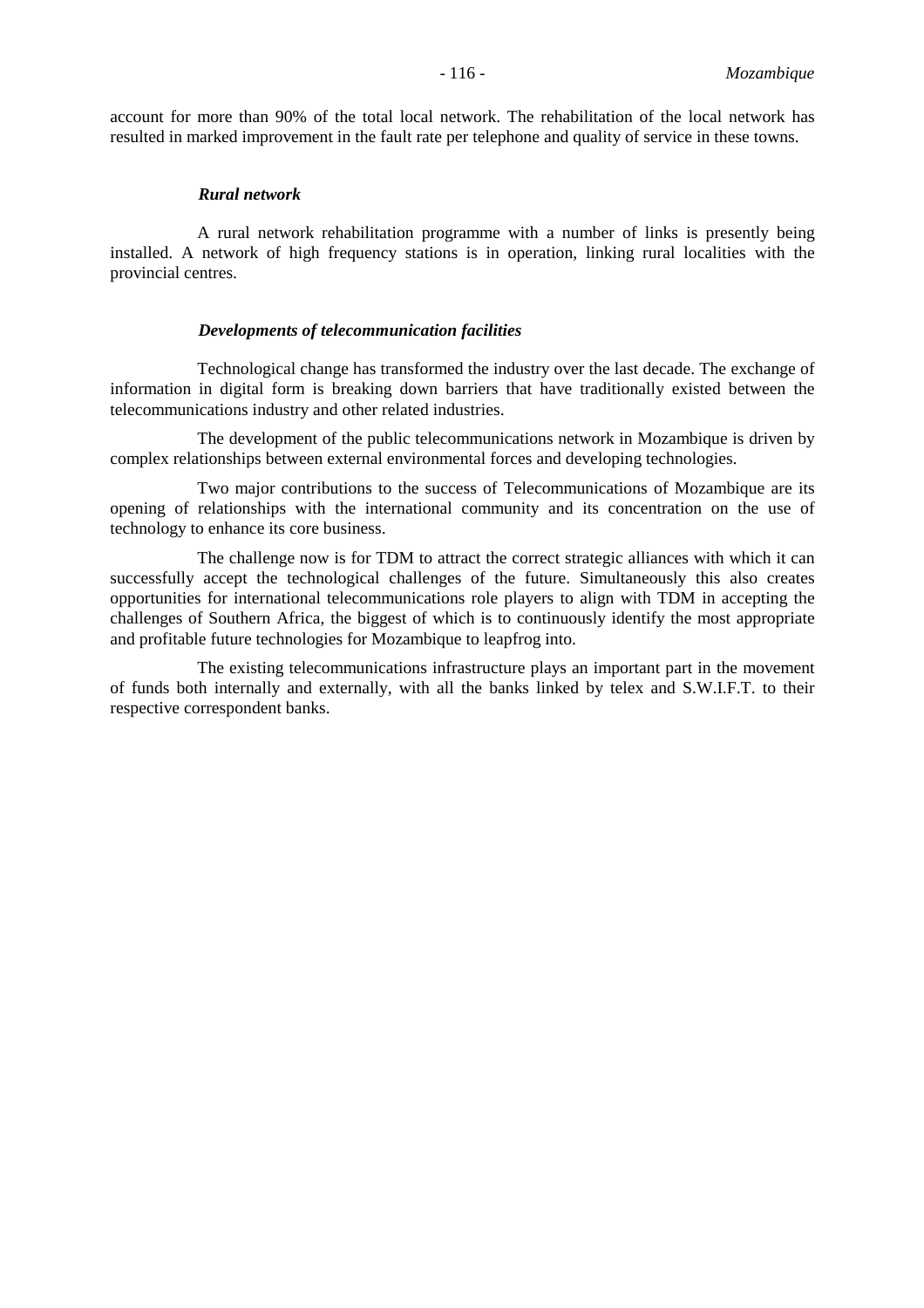account for more than 90% of the total local network. The rehabilitation of the local network has resulted in marked improvement in the fault rate per telephone and quality of service in these towns.

#### *Rural network*

A rural network rehabilitation programme with a number of links is presently being installed. A network of high frequency stations is in operation, linking rural localities with the provincial centres.

#### *Developments of telecommunication facilities*

Technological change has transformed the industry over the last decade. The exchange of information in digital form is breaking down barriers that have traditionally existed between the telecommunications industry and other related industries.

The development of the public telecommunications network in Mozambique is driven by complex relationships between external environmental forces and developing technologies.

Two major contributions to the success of Telecommunications of Mozambique are its opening of relationships with the international community and its concentration on the use of technology to enhance its core business.

The challenge now is for TDM to attract the correct strategic alliances with which it can successfully accept the technological challenges of the future. Simultaneously this also creates opportunities for international telecommunications role players to align with TDM in accepting the challenges of Southern Africa, the biggest of which is to continuously identify the most appropriate and profitable future technologies for Mozambique to leapfrog into.

The existing telecommunications infrastructure plays an important part in the movement of funds both internally and externally, with all the banks linked by telex and S.W.I.F.T. to their respective correspondent banks.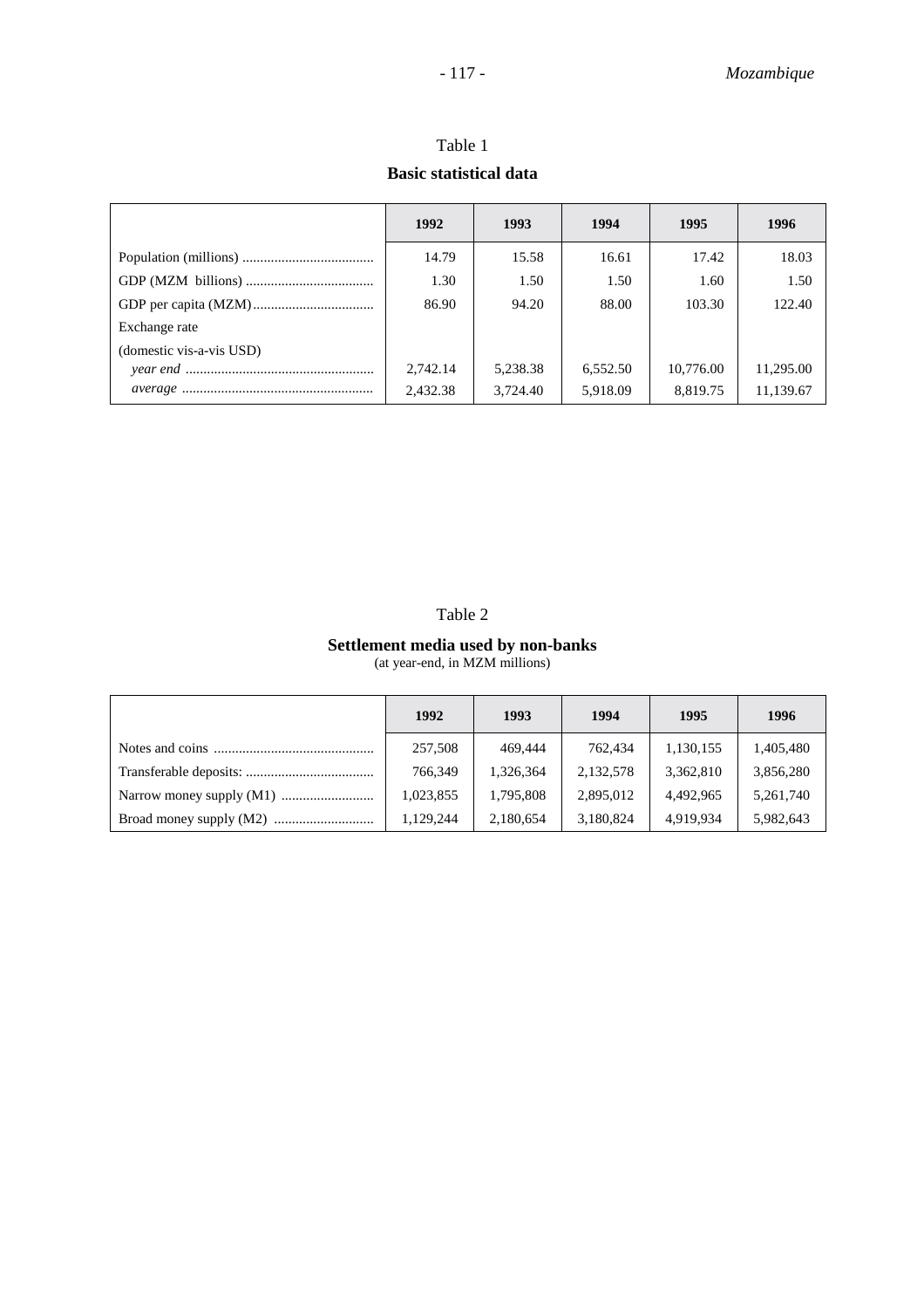|                          | 1992     | 1993     | 1994     | 1995      | 1996      |
|--------------------------|----------|----------|----------|-----------|-----------|
|                          | 14.79    | 15.58    | 16.61    | 17.42     | 18.03     |
|                          | 1.30     | 1.50     | 1.50     | 1.60      | 1.50      |
|                          | 86.90    | 94.20    | 88.00    | 103.30    | 122.40    |
| Exchange rate            |          |          |          |           |           |
| (domestic vis-a-vis USD) |          |          |          |           |           |
|                          | 2,742.14 | 5,238.38 | 6,552.50 | 10,776.00 | 11,295.00 |
|                          | 2,432.38 | 3,724.40 | 5,918.09 | 8,819.75  | 11,139.67 |

Table 1 **Basic statistical data**

# **Settlement media used by non-banks**

(at year-end, in MZM millions)

| 1992      | 1993      | 1994      | 1995      | 1996      |
|-----------|-----------|-----------|-----------|-----------|
| 257,508   | 469,444   | 762,434   | 1,130,155 | 1,405,480 |
| 766.349   | 1,326,364 | 2,132,578 | 3,362,810 | 3,856,280 |
| 1,023,855 | 1,795,808 | 2,895,012 | 4,492,965 | 5,261,740 |
| 1,129,244 | 2,180,654 | 3,180,824 | 4,919,934 | 5,982,643 |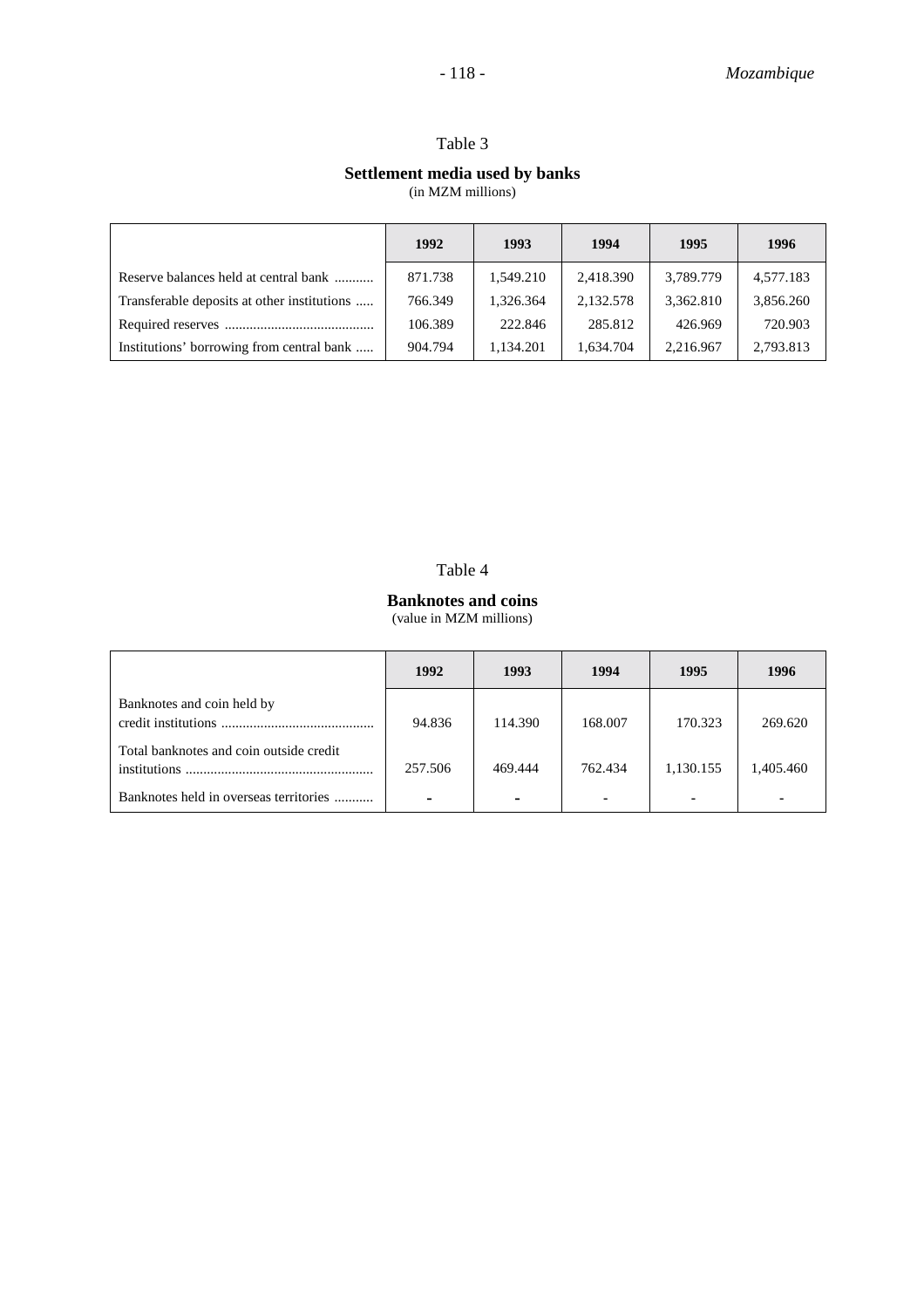#### **Settlement media used by banks**

(in MZM millions)

|                                             | 1992    | 1993      | 1994      | 1995      | 1996      |
|---------------------------------------------|---------|-----------|-----------|-----------|-----------|
| Reserve balances held at central bank       | 871.738 | 1,549.210 | 2,418.390 | 3,789.779 | 4,577.183 |
| Transferable deposits at other institutions | 766.349 | 1.326.364 | 2,132.578 | 3,362.810 | 3,856.260 |
|                                             | 106.389 | 222.846   | 285.812   | 426.969   | 720.903   |
| Institutions' borrowing from central bank   | 904.794 | 1,134.201 | 1.634.704 | 2.216.967 | 2,793.813 |

#### Table 4

#### **Banknotes and coins** (value in MZM millions)

|                                                         | 1992    | 1993                     | 1994           | 1995      | 1996      |
|---------------------------------------------------------|---------|--------------------------|----------------|-----------|-----------|
| Banknotes and coin held by                              | 94.836  | 114.390                  | 168.007        | 170.323   | 269.620   |
| Total banknotes and coin outside credit<br>institutions | 257.506 | 469.444                  | 762.434        | 1,130.155 | 1.405.460 |
| Banknotes held in overseas territories                  | ۰       | $\overline{\phantom{0}}$ | $\blacksquare$ |           |           |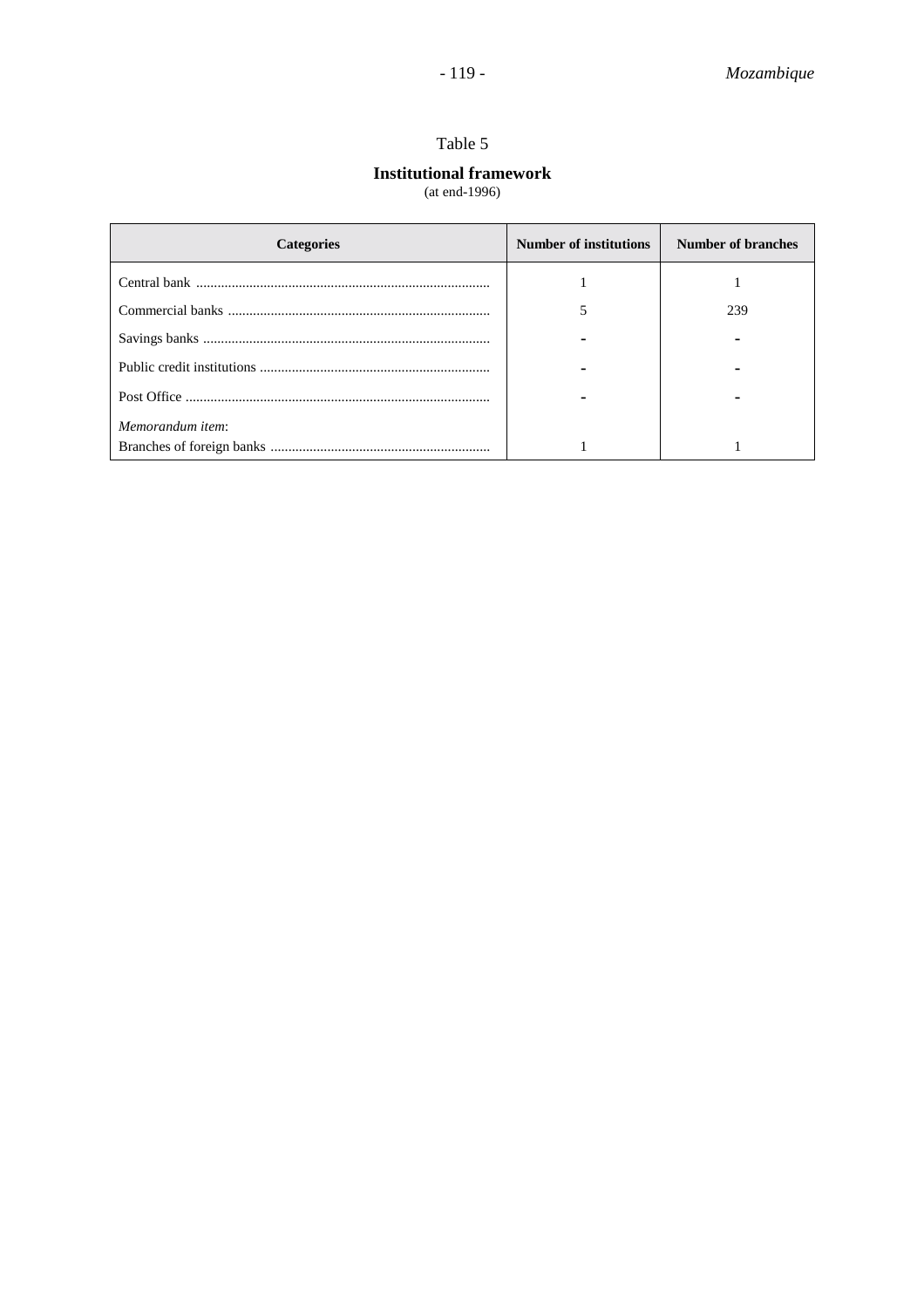# **Institutional framework**

(at end-1996)

| <b>Categories</b> | <b>Number of institutions</b> | Number of branches |
|-------------------|-------------------------------|--------------------|
|                   |                               |                    |
|                   |                               | 239                |
|                   |                               |                    |
|                   |                               |                    |
|                   |                               |                    |
| Memorandum item:  |                               |                    |
|                   |                               |                    |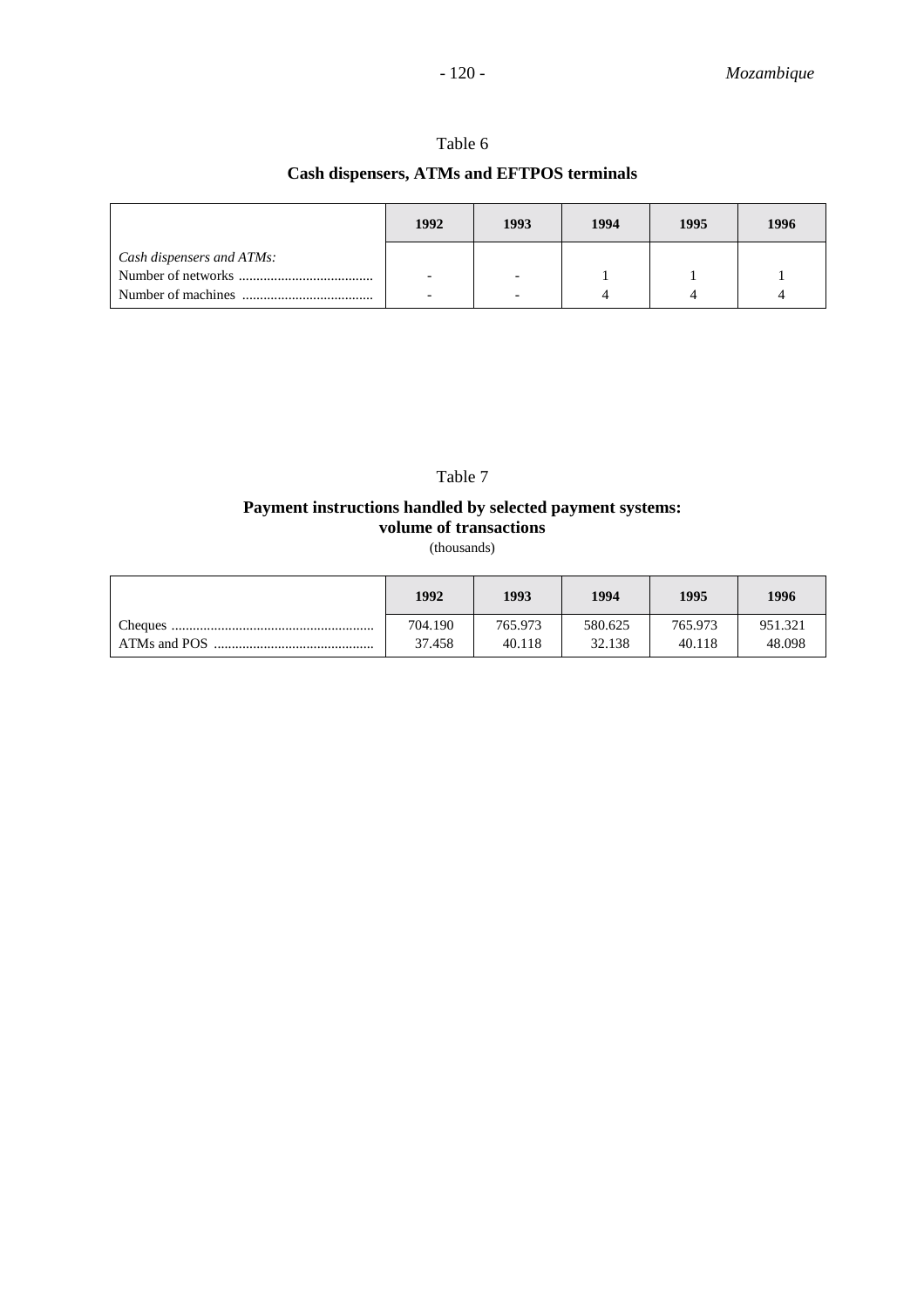# **Cash dispensers, ATMs and EFTPOS terminals**

|                           | 1992                     | 1993                     | 1994 | 1995 | 1996 |
|---------------------------|--------------------------|--------------------------|------|------|------|
| Cash dispensers and ATMs: |                          |                          |      |      |      |
|                           | $\overline{\phantom{0}}$ | $\overline{\phantom{a}}$ |      |      |      |
|                           | -                        | -                        |      |      |      |

### Table 7

#### **Payment instructions handled by selected payment systems: volume of transactions**

(thousands)

|              | 1992    | 1993    | 1994    | 1995    | 1996    |
|--------------|---------|---------|---------|---------|---------|
| Cheques      | 704.190 | 765.973 | 580.625 | 765.973 | 951.321 |
| ATMs and POS | 37.458  | 40.118  | 32.138  | 40.118  | 48.098  |